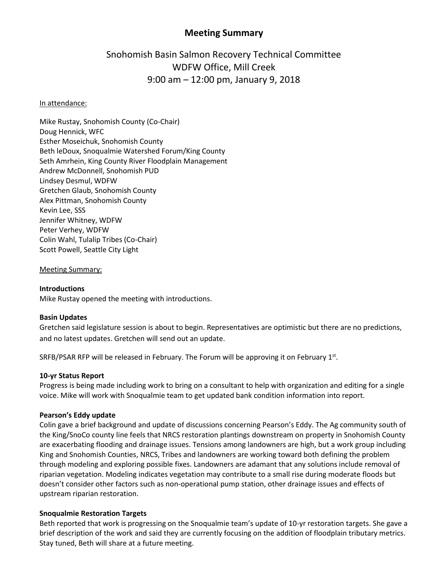# **Meeting Summary**

# Snohomish Basin Salmon Recovery Technical Committee WDFW Office, Mill Creek 9:00 am – 12:00 pm, January 9, 2018

### In attendance:

Mike Rustay, Snohomish County (Co-Chair) Doug Hennick, WFC Esther Moseichuk, Snohomish County Beth leDoux, Snoqualmie Watershed Forum/King County Seth Amrhein, King County River Floodplain Management Andrew McDonnell, Snohomish PUD Lindsey Desmul, WDFW Gretchen Glaub, Snohomish County Alex Pittman, Snohomish County Kevin Lee, SSS Jennifer Whitney, WDFW Peter Verhey, WDFW Colin Wahl, Tulalip Tribes (Co-Chair) Scott Powell, Seattle City Light

#### Meeting Summary:

# **Introductions**

Mike Rustay opened the meeting with introductions.

# **Basin Updates**

Gretchen said legislature session is about to begin. Representatives are optimistic but there are no predictions, and no latest updates. Gretchen will send out an update.

SRFB/PSAR RFP will be released in February. The Forum will be approving it on February 1st.

#### **10-yr Status Report**

Progress is being made including work to bring on a consultant to help with organization and editing for a single voice. Mike will work with Snoqualmie team to get updated bank condition information into report.

#### **Pearson's Eddy update**

Colin gave a brief background and update of discussions concerning Pearson's Eddy. The Ag community south of the King/SnoCo county line feels that NRCS restoration plantings downstream on property in Snohomish County are exacerbating flooding and drainage issues. Tensions among landowners are high, but a work group including King and Snohomish Counties, NRCS, Tribes and landowners are working toward both defining the problem through modeling and exploring possible fixes. Landowners are adamant that any solutions include removal of riparian vegetation. Modeling indicates vegetation may contribute to a small rise during moderate floods but doesn't consider other factors such as non-operational pump station, other drainage issues and effects of upstream riparian restoration.

# **Snoqualmie Restoration Targets**

Beth reported that work is progressing on the Snoqualmie team's update of 10-yr restoration targets. She gave a brief description of the work and said they are currently focusing on the addition of floodplain tributary metrics. Stay tuned, Beth will share at a future meeting.